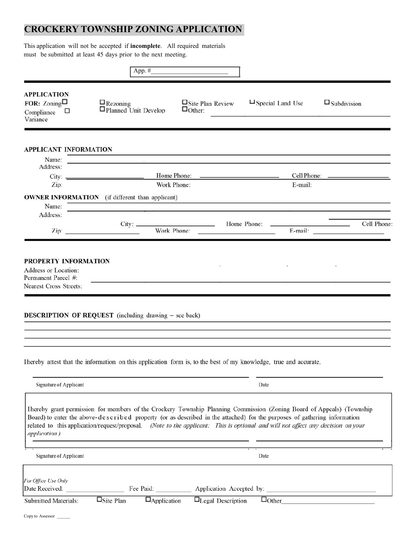# **CROCKERY TOWNSHIP ZONING APPLICATION**

This application will not be accepted if **incomplete**. All required materials must be submitted at least 45 days prior to the next meeting.

|                                                                             | App. $#_$                                                                                                                                                                                                                                                                                                                                                                            |                                                                                                                                      |                                                                                                                 |                       |  |
|-----------------------------------------------------------------------------|--------------------------------------------------------------------------------------------------------------------------------------------------------------------------------------------------------------------------------------------------------------------------------------------------------------------------------------------------------------------------------------|--------------------------------------------------------------------------------------------------------------------------------------|-----------------------------------------------------------------------------------------------------------------|-----------------------|--|
| <b>APPLICATION</b><br>FOR: $\mathrm{Zoning}$<br>Compliance<br>□<br>Variance | $\mathbf{\mathop{Q}}$ Rezoning<br>Planned Unit Develop                                                                                                                                                                                                                                                                                                                               | $\Box$ Site Plan Review<br>$\Box$ Other:                                                                                             | $\Box$ Special Land Use                                                                                         | $\square$ Subdivision |  |
|                                                                             |                                                                                                                                                                                                                                                                                                                                                                                      |                                                                                                                                      |                                                                                                                 |                       |  |
| <b>APPLICANT INFORMATION</b><br>Name:                                       | <u>in the community of the community of the community of the community of the community of the community of the community of the community of the community of the community of the community of the community of the community </u>                                                                                                                                                 |                                                                                                                                      |                                                                                                                 |                       |  |
| Address:                                                                    |                                                                                                                                                                                                                                                                                                                                                                                      |                                                                                                                                      |                                                                                                                 |                       |  |
| Zip:                                                                        | Work Phone:                                                                                                                                                                                                                                                                                                                                                                          |                                                                                                                                      | E-mail:                                                                                                         |                       |  |
|                                                                             | <b>OWNER INFORMATION</b> (if different than applicant)                                                                                                                                                                                                                                                                                                                               |                                                                                                                                      | the contract of the contract of the contract of the contract of the contract of the contract of the contract of |                       |  |
| Name:                                                                       |                                                                                                                                                                                                                                                                                                                                                                                      | the contract of the contract of the contract of the contract of the contract of the contract of the contract of                      |                                                                                                                 |                       |  |
| Address:                                                                    | Zip: 2008                                                                                                                                                                                                                                                                                                                                                                            | Work Phone:<br><u> De la Carlo de la Carlo de la Carlo de la Carlo de la Carlo de la Carlo de la Carlo de la Carlo de la Carlo d</u> | Home Phone: <b>Example 2014</b> Home Phone:                                                                     | Cell Phone:           |  |
|                                                                             | Ihereby attest that the information on this application form is, to the best of my knowledge, true and accurate.                                                                                                                                                                                                                                                                     |                                                                                                                                      |                                                                                                                 |                       |  |
|                                                                             |                                                                                                                                                                                                                                                                                                                                                                                      |                                                                                                                                      |                                                                                                                 |                       |  |
| Signature of Applicant                                                      |                                                                                                                                                                                                                                                                                                                                                                                      |                                                                                                                                      | Date                                                                                                            |                       |  |
| application.)                                                               | Ihereby grant permission for members of the Crockery Township Planning Commission (Zoning Board of Appeals) (Township<br>Board) to enter the above-described property (or as described in the attached) for the purposes of gathering information<br>related to this application/request/proposal. (Note to the applicant: This is optional and will not affect any decision on your |                                                                                                                                      |                                                                                                                 |                       |  |
| Signature of Applicant                                                      |                                                                                                                                                                                                                                                                                                                                                                                      |                                                                                                                                      | Date                                                                                                            |                       |  |
| For Office Use Only                                                         |                                                                                                                                                                                                                                                                                                                                                                                      |                                                                                                                                      |                                                                                                                 |                       |  |
| Date Received:                                                              |                                                                                                                                                                                                                                                                                                                                                                                      |                                                                                                                                      | Fee Paid: _______________ Application Accepted by: ______________________________                               |                       |  |
| <b>Submitted Materials:</b>                                                 | $\overline{\Box_{\text{Site}}$ Plan<br>$\Box$ Application                                                                                                                                                                                                                                                                                                                            | $\Box$ Legal Description                                                                                                             |                                                                                                                 | $\Box$ Other          |  |
| Copy to Assessor                                                            |                                                                                                                                                                                                                                                                                                                                                                                      |                                                                                                                                      |                                                                                                                 |                       |  |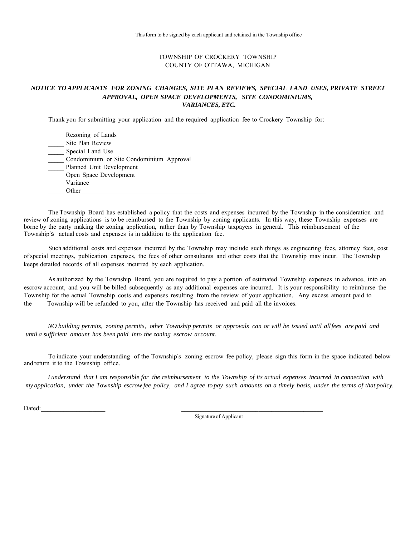#### TOWNSHIP OF CROCKERY TOWNSHIP COUNTY OF OTTAWA, MICHIGAN

#### *NOTICE TO APPLICANTS FOR ZONING CHANGES, SITE PLAN REVIEWS, SPECIAL LAND USES, PRIVATE STREET APPROVAL, OPEN SPACE DEVELOPMENTS, SITE CONDOMINIUMS, VARIANCES, ETC.*

Thank you for submitting your application and the required application fee to Crockery Township for:

| Rezoning of Lands                        |
|------------------------------------------|
| Site Plan Review                         |
| Special Land Use                         |
| Condominium or Site Condominium Approval |
| Planned Unit Development                 |
| Open Space Development                   |
| Variance                                 |
| ∩ther                                    |

The Township Board has established a policy that the costs and expenses incurred by the Township in the consideration and review of zoning applications is to be reimbursed to the Township by zoning applicants. In this way, these Township expenses are borne by the party making the zoning application, rather than by Township taxpayers in general. This reimbursement of the Township's actual costs and expenses is in addition to the application fee.

Such additional costs and expenses incurred by the Township may include such things as engineering fees, attorney fees, cost ofspecial meetings, publication expenses, the fees of other consultants and other costs that the Township may incur. The Township keeps detailed records of all expenses incurred by each application.

As authorized by the Township Board, you are required to pay a portion of estimated Township expenses in advance, into an escrow account, and you will be billed subsequently as any additional expenses are incurred. It is your responsibility to reimburse the Township for the actual Township costs and expenses resulting from the review of your application. Any excess amount paid to As authorized by the Township Board, you are required to pay a portion of estimated Towns<br>escrow account, and you will be billed subsequently as any additional expenses are incurred. It is yo<br>Township for the actual Townsh

NO building permits, zoning permits, other Township permits or approvals can or will be issued until allfees are paid and *until a sufficient amount has been paid into the zoning escrow account.*

To indicate your understanding of the Township's zoning escrow fee policy, please sign this form in the space indicated below and return it to the Township office.

I understand that I am responsible for the reimbursement to the Township of its actual expenses incurred in connection with my application, under the Township escrow fee policy, and I agree to pay such amounts on a timely basis, under the terms of that policy.

 $Dated:$ 

Signature of Applicant